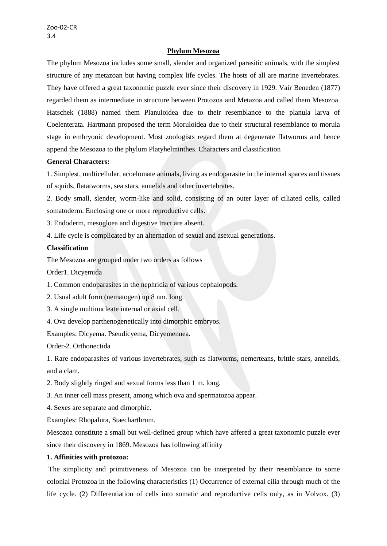## **Phylum Mesozoa**

The phylum Mesozoa includes some small, slender and organized parasitic animals, with the simplest structure of any metazoan but having complex life cycles. The hosts of all are marine invertebrates. They have offered a great taxonomic puzzle ever since their discovery in 1929. Vair Beneden (1877) regarded them as intermediate in structure between Protozoa and Metazoa and called them Mesozoa. Hatschek (1888) named them Planuloidea due to their resemblance to the planula larva of Coelenterata. Hartmann proposed the term Moruloidea due to their structural resemblance to morula stage in embryonic development. Most zoologists regard them at degenerate flatworms and hence append the Mesozoa to the phylum Platyhelminthes. Characters and classification

### **General Characters:**

1. Simplest, multicellular, acoelomate animals, living as endoparasite in the internal spaces and tissues of squids, flatatworms, sea stars, annelids and other invertebrates.

2. Body small, slender, worm-like and solid, consisting of an outer layer of ciliated cells, called somatoderm. Enclosing one or more reproductive cells.

3. Endoderm, mesogloea and digestive tract are absent.

4. Life cycle is complicated by an alternation of sexual and asexual generations.

## **Classification**

The Mesozoa are grouped under two orders as follows

Order1. Dicyemida

1. Common endoparasites in the nephridia of various cephalopods.

2. Usual adult form (nematogen) up 8 nm. Iong.

- 3. A single multinucleate internal or axial cell.
- 4. Ova develop parthenogenetically into dimorphic embryos.

Examples: Dicyema. Pseudicyema, Dicyemennea.

Order-2. Orthonectida

1. Rare endoparasites of various invertebrates, such as flatworms, nemerteans, brittle stars, annelids, and a clam.

2. Body slightly ringed and sexual forms less than 1 m. long.

3. An inner cell mass present, among which ova and spermatozoa appear.

4. Sexes are separate and dimorphic.

Examples: Rhopalura, Staecharthrum.

Mesozoa constitute a small but well-defined group which have affered a great taxonomic puzzle ever since their discovery in 1869. Mesozoa has following affinity

# **1. Affinities with protozoa:**

The simplicity and primitiveness of Mesozoa can be interpreted by their resemblance to some colonial Protozoa in the following characteristics (1) Occurrence of external cilia through much of the life cycle. (2) Differentiation of cells into somatic and reproductive cells only, as in Volvox. (3)